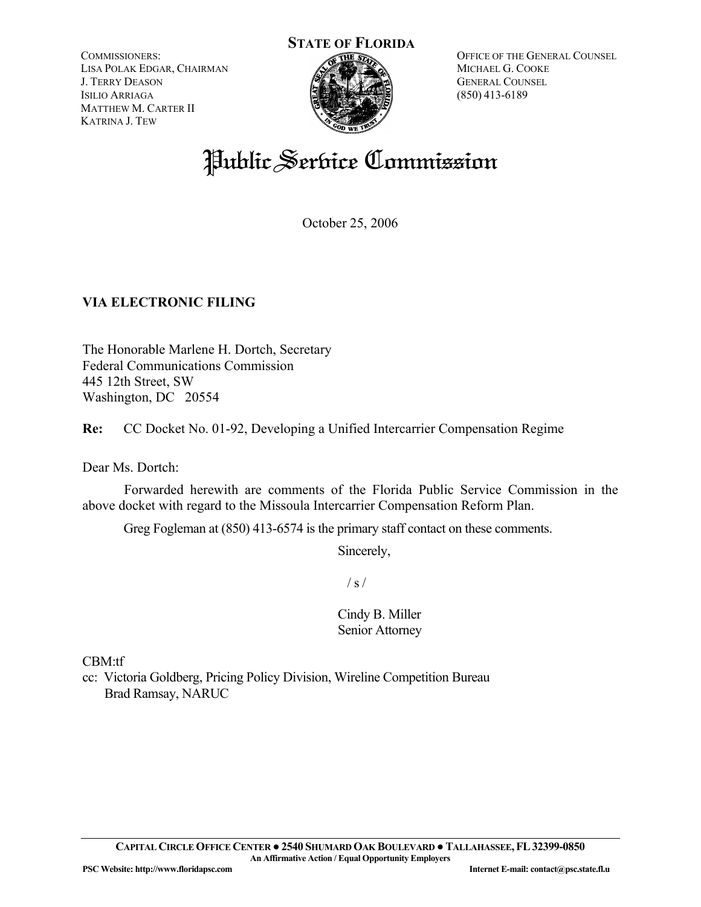COMMISSIONERS: LISA POLAK EDGAR, CHAIRMAN J. TERRY DEASON ISILIO ARRIAGA MATTHEW M. CARTER II KATRINA J. TEW



OFFICE OF THE GENERAL COUNSEL MICHAEL G. COOKE GENERAL COUNSEL (850) 413-6189

# Public Service Commission

October 25, 2006

## **VIA ELECTRONIC FILING**

The Honorable Marlene H. Dortch, Secretary Federal Communications Commission 445 12th Street, SW Washington, DC 20554

**Re:** CC Docket No. 01-92, Developing a Unified Intercarrier Compensation Regime

Dear Ms. Dortch:

 Forwarded herewith are comments of the Florida Public Service Commission in the above docket with regard to the Missoula Intercarrier Compensation Reform Plan.

Greg Fogleman at (850) 413-6574 is the primary staff contact on these comments.

Sincerely,

 $/ s /$ 

Cindy B. Miller Senior Attorney

CBM:tf

cc: Victoria Goldberg, Pricing Policy Division, Wireline Competition Bureau Brad Ramsay, NARUC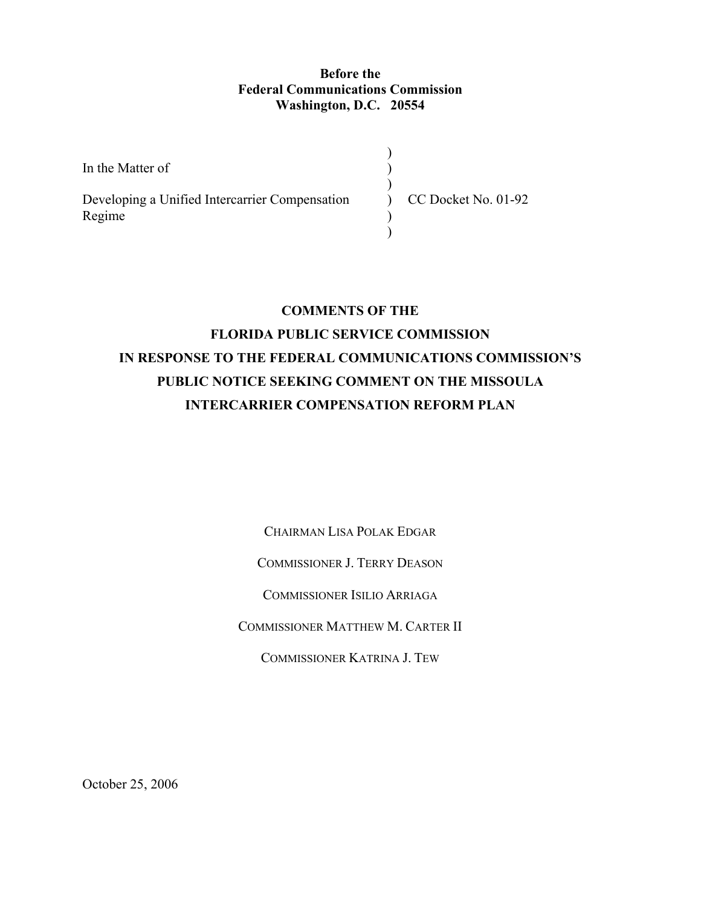### **Before the Federal Communications Commission Washington, D.C. 20554**

In the Matter of Developing a Unified Intercarrier Compensation Regime ) )  $\mathcal{L}$  $\mathcal{L}$ ) ) CC Docket No. 01-92

# **COMMENTS OF THE FLORIDA PUBLIC SERVICE COMMISSION IN RESPONSE TO THE FEDERAL COMMUNICATIONS COMMISSION'S PUBLIC NOTICE SEEKING COMMENT ON THE MISSOULA INTERCARRIER COMPENSATION REFORM PLAN**

CHAIRMAN LISA POLAK EDGAR

COMMISSIONER J. TERRY DEASON

COMMISSIONER ISILIO ARRIAGA

COMMISSIONER MATTHEW M. CARTER II

COMMISSIONER KATRINA J. TEW

October 25, 2006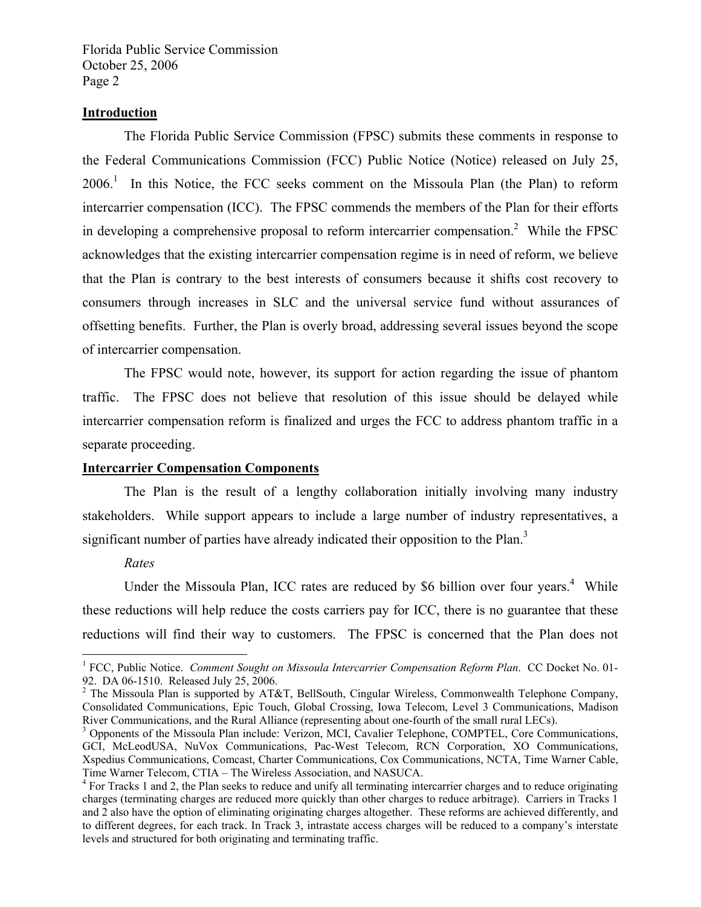#### **Introduction**

 The Florida Public Service Commission (FPSC) submits these comments in response to the Federal Communications Commission (FCC) Public Notice (Notice) released on July 25, 2006.<sup>1</sup> In this Notice, the FCC seeks comment on the Missoula Plan (the Plan) to reform intercarrier compensation (ICC). The FPSC commends the members of the Plan for their efforts in developing a comprehensive proposal to reform intercarrier compensation.<sup>2</sup> While the FPSC acknowledges that the existing intercarrier compensation regime is in need of reform, we believe that the Plan is contrary to the best interests of consumers because it shifts cost recovery to consumers through increases in SLC and the universal service fund without assurances of offsetting benefits. Further, the Plan is overly broad, addressing several issues beyond the scope of intercarrier compensation.

 The FPSC would note, however, its support for action regarding the issue of phantom traffic. The FPSC does not believe that resolution of this issue should be delayed while intercarrier compensation reform is finalized and urges the FCC to address phantom traffic in a separate proceeding.

#### **Intercarrier Compensation Components**

 The Plan is the result of a lengthy collaboration initially involving many industry stakeholders. While support appears to include a large number of industry representatives, a significant number of parties have already indicated their opposition to the Plan.<sup>3</sup>

#### *Rates*

 $\overline{a}$ 

Under the Missoula Plan, ICC rates are reduced by \$6 billion over four years.<sup>4</sup> While these reductions will help reduce the costs carriers pay for ICC, there is no guarantee that these reductions will find their way to customers. The FPSC is concerned that the Plan does not

<sup>&</sup>lt;sup>1</sup> FCC, Public Notice. *Comment Sought on Missoula Intercarrier Compensation Reform Plan.* CC Docket No. 01-92. DA 06-1510. Released July 25, 2006.

<sup>&</sup>lt;sup>2</sup> The Missoula Plan is supported by AT&T, BellSouth, Cingular Wireless, Commonwealth Telephone Company, Consolidated Communications, Epic Touch, Global Crossing, Iowa Telecom, Level 3 Communications, Madison River Communications, and the Rural Alliance (representing about one-fourth of the small rural LECs).

<sup>&</sup>lt;sup>3</sup> Opponents of the Missoula Plan include: Verizon, MCI, Cavalier Telephone, COMPTEL, Core Communications, GCI, McLeodUSA, NuVox Communications, Pac-West Telecom, RCN Corporation, XO Communications, Xspedius Communications, Comcast, Charter Communications, Cox Communications, NCTA, Time Warner Cable, Time Warner Telecom, CTIA – The Wireless Association, and NASUCA.

<sup>&</sup>lt;sup>4</sup> For Tracks 1 and 2, the Plan seeks to reduce and unify all terminating intercarrier charges and to reduce originating charges (terminating charges are reduced more quickly than other charges to reduce arbitrage). Carriers in Tracks 1 and 2 also have the option of eliminating originating charges altogether. These reforms are achieved differently, and to different degrees, for each track. In Track 3, intrastate access charges will be reduced to a company's interstate levels and structured for both originating and terminating traffic.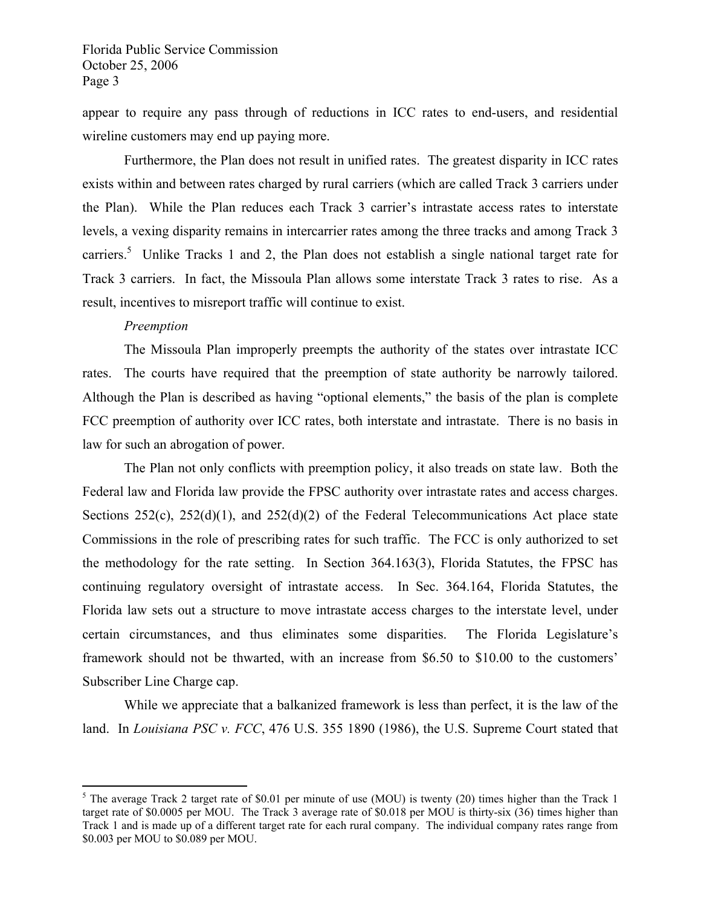appear to require any pass through of reductions in ICC rates to end-users, and residential wireline customers may end up paying more.

 Furthermore, the Plan does not result in unified rates. The greatest disparity in ICC rates exists within and between rates charged by rural carriers (which are called Track 3 carriers under the Plan). While the Plan reduces each Track 3 carrier's intrastate access rates to interstate levels, a vexing disparity remains in intercarrier rates among the three tracks and among Track 3 carriers.<sup>5</sup> Unlike Tracks 1 and 2, the Plan does not establish a single national target rate for Track 3 carriers. In fact, the Missoula Plan allows some interstate Track 3 rates to rise. As a result, incentives to misreport traffic will continue to exist.

#### *Preemption*

<u>.</u>

 The Missoula Plan improperly preempts the authority of the states over intrastate ICC rates. The courts have required that the preemption of state authority be narrowly tailored. Although the Plan is described as having "optional elements," the basis of the plan is complete FCC preemption of authority over ICC rates, both interstate and intrastate. There is no basis in law for such an abrogation of power.

 The Plan not only conflicts with preemption policy, it also treads on state law. Both the Federal law and Florida law provide the FPSC authority over intrastate rates and access charges. Sections  $252(c)$ ,  $252(d)(1)$ , and  $252(d)(2)$  of the Federal Telecommunications Act place state Commissions in the role of prescribing rates for such traffic. The FCC is only authorized to set the methodology for the rate setting. In Section 364.163(3), Florida Statutes, the FPSC has continuing regulatory oversight of intrastate access. In Sec. 364.164, Florida Statutes, the Florida law sets out a structure to move intrastate access charges to the interstate level, under certain circumstances, and thus eliminates some disparities. The Florida Legislature's framework should not be thwarted, with an increase from \$6.50 to \$10.00 to the customers' Subscriber Line Charge cap.

 While we appreciate that a balkanized framework is less than perfect, it is the law of the land. In *Louisiana PSC v. FCC*, 476 U.S. 355 1890 (1986), the U.S. Supreme Court stated that

<sup>&</sup>lt;sup>5</sup> The average Track 2 target rate of \$0.01 per minute of use (MOU) is twenty (20) times higher than the Track 1 target rate of \$0.0005 per MOU. The Track 3 average rate of \$0.018 per MOU is thirty-six (36) times higher than Track 1 and is made up of a different target rate for each rural company. The individual company rates range from \$0.003 per MOU to \$0.089 per MOU.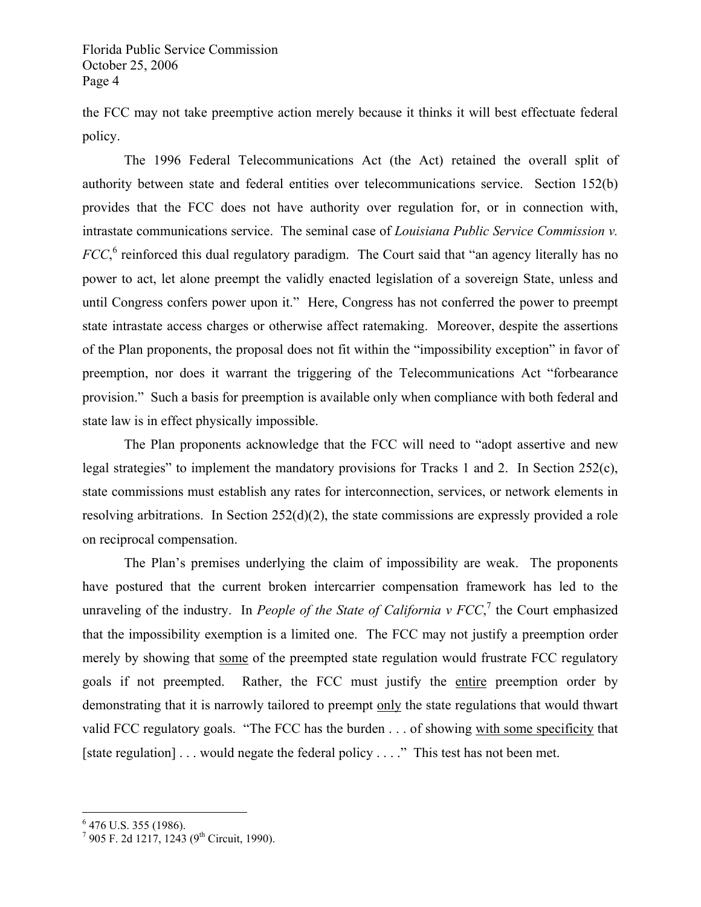the FCC may not take preemptive action merely because it thinks it will best effectuate federal policy.

 The 1996 Federal Telecommunications Act (the Act) retained the overall split of authority between state and federal entities over telecommunications service. Section 152(b) provides that the FCC does not have authority over regulation for, or in connection with, intrastate communications service. The seminal case of *Louisiana Public Service Commission v. FCC*, <sup>6</sup> reinforced this dual regulatory paradigm. The Court said that "an agency literally has no power to act, let alone preempt the validly enacted legislation of a sovereign State, unless and until Congress confers power upon it." Here, Congress has not conferred the power to preempt state intrastate access charges or otherwise affect ratemaking. Moreover, despite the assertions of the Plan proponents, the proposal does not fit within the "impossibility exception" in favor of preemption, nor does it warrant the triggering of the Telecommunications Act "forbearance provision." Such a basis for preemption is available only when compliance with both federal and state law is in effect physically impossible.

 The Plan proponents acknowledge that the FCC will need to "adopt assertive and new legal strategies" to implement the mandatory provisions for Tracks 1 and 2. In Section 252(c), state commissions must establish any rates for interconnection, services, or network elements in resolving arbitrations. In Section 252(d)(2), the state commissions are expressly provided a role on reciprocal compensation.

 The Plan's premises underlying the claim of impossibility are weak. The proponents have postured that the current broken intercarrier compensation framework has led to the unraveling of the industry. In *People of the State of California v FCC*,<sup>7</sup> the Court emphasized that the impossibility exemption is a limited one. The FCC may not justify a preemption order merely by showing that some of the preempted state regulation would frustrate FCC regulatory goals if not preempted. Rather, the FCC must justify the entire preemption order by demonstrating that it is narrowly tailored to preempt only the state regulations that would thwart valid FCC regulatory goals. "The FCC has the burden . . . of showing with some specificity that [state regulation] . . . would negate the federal policy . . . ." This test has not been met.

1

<sup>&</sup>lt;sup>6</sup> 476 U.S. 355 (1986).

 $7$  905 F. 2d 1217, 1243 (9<sup>th</sup> Circuit, 1990).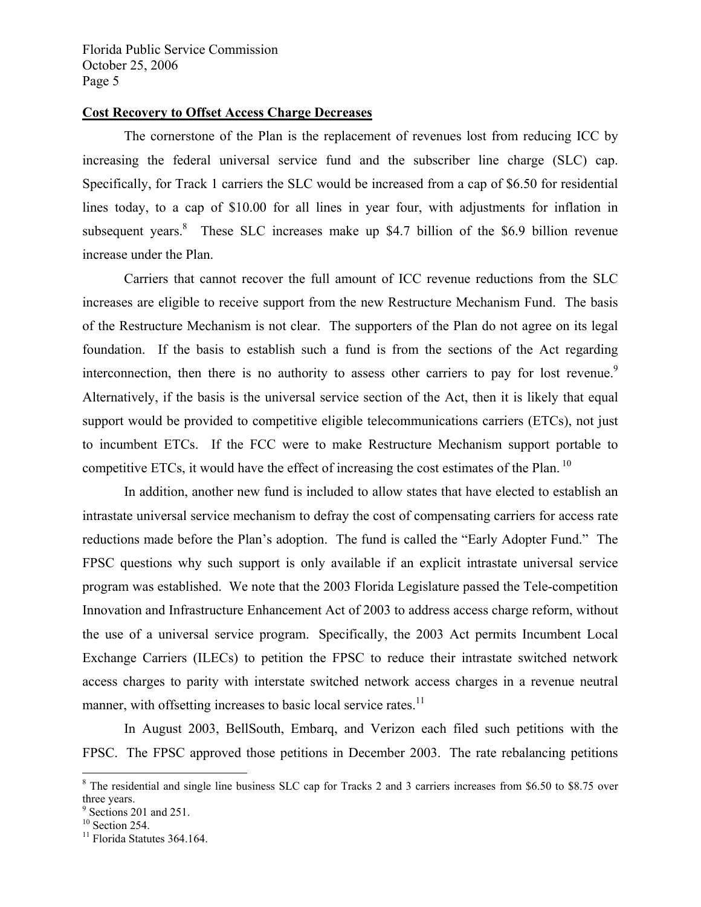#### **Cost Recovery to Offset Access Charge Decreases**

 The cornerstone of the Plan is the replacement of revenues lost from reducing ICC by increasing the federal universal service fund and the subscriber line charge (SLC) cap. Specifically, for Track 1 carriers the SLC would be increased from a cap of \$6.50 for residential lines today, to a cap of \$10.00 for all lines in year four, with adjustments for inflation in subsequent years. <sup>8</sup> These SLC increases make up \$4.7 billion of the \$6.9 billion revenue increase under the Plan.

 Carriers that cannot recover the full amount of ICC revenue reductions from the SLC increases are eligible to receive support from the new Restructure Mechanism Fund. The basis of the Restructure Mechanism is not clear. The supporters of the Plan do not agree on its legal foundation. If the basis to establish such a fund is from the sections of the Act regarding interconnection, then there is no authority to assess other carriers to pay for lost revenue.<sup>9</sup> Alternatively, if the basis is the universal service section of the Act, then it is likely that equal support would be provided to competitive eligible telecommunications carriers (ETCs), not just to incumbent ETCs. If the FCC were to make Restructure Mechanism support portable to competitive ETCs, it would have the effect of increasing the cost estimates of the Plan.<sup>10</sup>

 In addition, another new fund is included to allow states that have elected to establish an intrastate universal service mechanism to defray the cost of compensating carriers for access rate reductions made before the Plan's adoption. The fund is called the "Early Adopter Fund." The FPSC questions why such support is only available if an explicit intrastate universal service program was established. We note that the 2003 Florida Legislature passed the Tele-competition Innovation and Infrastructure Enhancement Act of 2003 to address access charge reform, without the use of a universal service program. Specifically, the 2003 Act permits Incumbent Local Exchange Carriers (ILECs) to petition the FPSC to reduce their intrastate switched network access charges to parity with interstate switched network access charges in a revenue neutral manner, with offsetting increases to basic local service rates.<sup>11</sup>

 In August 2003, BellSouth, Embarq, and Verizon each filed such petitions with the FPSC. The FPSC approved those petitions in December 2003. The rate rebalancing petitions

1

<sup>&</sup>lt;sup>8</sup> The residential and single line business SLC cap for Tracks 2 and 3 carriers increases from \$6.50 to \$8.75 over three years.

<sup>&</sup>lt;sup>9</sup> Sections 201 and 251.

 $10$  Section 254.

<sup>&</sup>lt;sup>11</sup> Florida Statutes 364.164.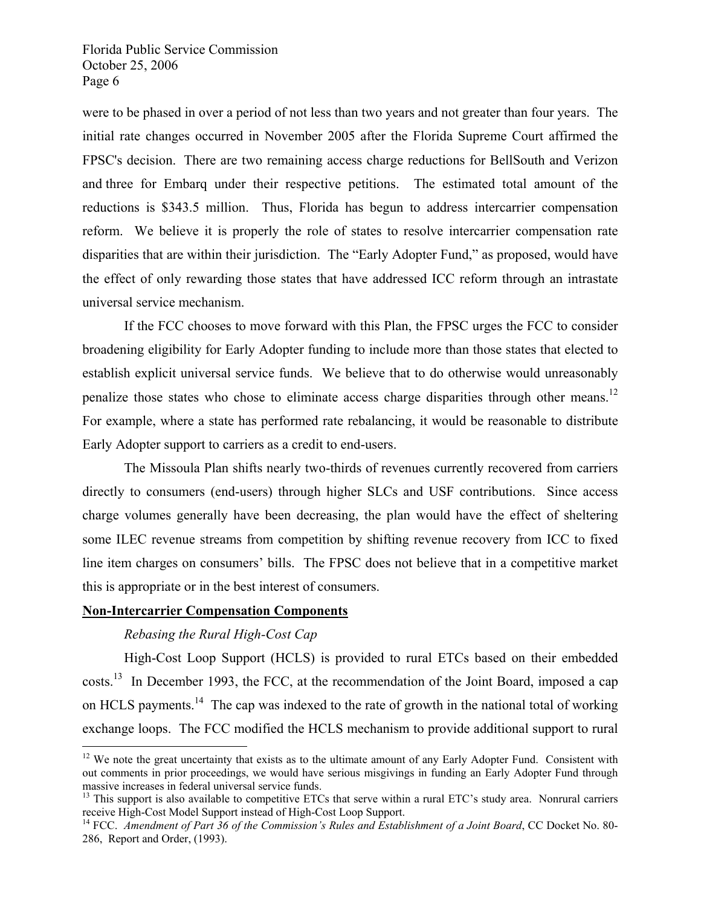were to be phased in over a period of not less than two years and not greater than four years. The initial rate changes occurred in November 2005 after the Florida Supreme Court affirmed the FPSC's decision. There are two remaining access charge reductions for BellSouth and Verizon and three for Embarq under their respective petitions. The estimated total amount of the reductions is \$343.5 million. Thus, Florida has begun to address intercarrier compensation reform. We believe it is properly the role of states to resolve intercarrier compensation rate disparities that are within their jurisdiction. The "Early Adopter Fund," as proposed, would have the effect of only rewarding those states that have addressed ICC reform through an intrastate universal service mechanism.

 If the FCC chooses to move forward with this Plan, the FPSC urges the FCC to consider broadening eligibility for Early Adopter funding to include more than those states that elected to establish explicit universal service funds. We believe that to do otherwise would unreasonably penalize those states who chose to eliminate access charge disparities through other means.12 For example, where a state has performed rate rebalancing, it would be reasonable to distribute Early Adopter support to carriers as a credit to end-users.

 The Missoula Plan shifts nearly two-thirds of revenues currently recovered from carriers directly to consumers (end-users) through higher SLCs and USF contributions. Since access charge volumes generally have been decreasing, the plan would have the effect of sheltering some ILEC revenue streams from competition by shifting revenue recovery from ICC to fixed line item charges on consumers' bills. The FPSC does not believe that in a competitive market this is appropriate or in the best interest of consumers.

#### **Non-Intercarrier Compensation Components**

#### *Rebasing the Rural High-Cost Cap*

<u>.</u>

 High-Cost Loop Support (HCLS) is provided to rural ETCs based on their embedded costs.<sup>13</sup> In December 1993, the FCC, at the recommendation of the Joint Board, imposed a cap on HCLS payments.<sup>14</sup> The cap was indexed to the rate of growth in the national total of working exchange loops. The FCC modified the HCLS mechanism to provide additional support to rural

 $12$  We note the great uncertainty that exists as to the ultimate amount of any Early Adopter Fund. Consistent with out comments in prior proceedings, we would have serious misgivings in funding an Early Adopter Fund through

massive increases in federal universal service funds.<br><sup>13</sup> This support is also available to competitive ETCs that serve within a rural ETC's study area. Nonrural carriers receive High-Cost Model Support instead of High-Co

<sup>&</sup>lt;sup>14</sup> FCC. Amendment of Part 36 of the Commission's Rules and Establishment of a Joint Board, CC Docket No. 80-286, Report and Order, (1993).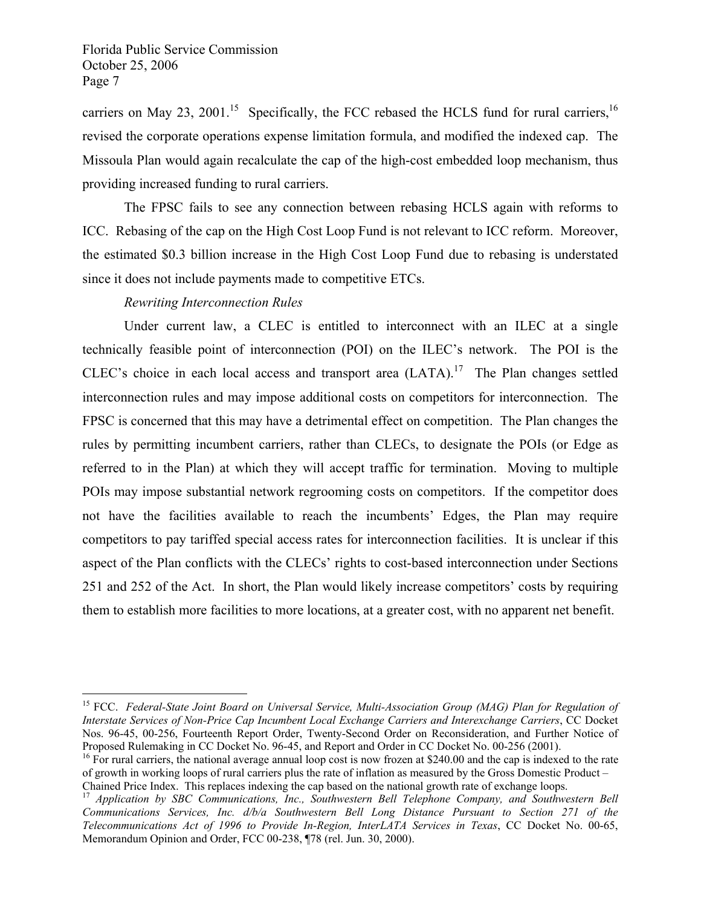carriers on May 23, 2001.<sup>15</sup> Specifically, the FCC rebased the HCLS fund for rural carriers,  $^{16}$ revised the corporate operations expense limitation formula, and modified the indexed cap. The Missoula Plan would again recalculate the cap of the high-cost embedded loop mechanism, thus providing increased funding to rural carriers.

 The FPSC fails to see any connection between rebasing HCLS again with reforms to ICC. Rebasing of the cap on the High Cost Loop Fund is not relevant to ICC reform. Moreover, the estimated \$0.3 billion increase in the High Cost Loop Fund due to rebasing is understated since it does not include payments made to competitive ETCs.

 *Rewriting Interconnection Rules* 

1

Under current law, a CLEC is entitled to interconnect with an ILEC at a single technically feasible point of interconnection (POI) on the ILEC's network. The POI is the CLEC's choice in each local access and transport area  $(LATA)$ .<sup>17</sup> The Plan changes settled interconnection rules and may impose additional costs on competitors for interconnection. The FPSC is concerned that this may have a detrimental effect on competition. The Plan changes the rules by permitting incumbent carriers, rather than CLECs, to designate the POIs (or Edge as referred to in the Plan) at which they will accept traffic for termination. Moving to multiple POIs may impose substantial network regrooming costs on competitors. If the competitor does not have the facilities available to reach the incumbents' Edges, the Plan may require competitors to pay tariffed special access rates for interconnection facilities. It is unclear if this aspect of the Plan conflicts with the CLECs' rights to cost-based interconnection under Sections 251 and 252 of the Act. In short, the Plan would likely increase competitors' costs by requiring them to establish more facilities to more locations, at a greater cost, with no apparent net benefit.

<sup>15</sup> FCC. *Federal-State Joint Board on Universal Service, Multi-Association Group (MAG) Plan for Regulation of Interstate Services of Non-Price Cap Incumbent Local Exchange Carriers and Interexchange Carriers*, CC Docket Nos. 96-45, 00-256, Fourteenth Report Order, Twenty-Second Order on Reconsideration, and Further Notice of Proposed Rulemaking in CC Docket No. 96-45, and Report and Order in CC Docket No. 00-256 (2001).

<sup>&</sup>lt;sup>16</sup> For rural carriers, the national average annual loop cost is now frozen at \$240.00 and the cap is indexed to the rate of growth in working loops of rural carriers plus the rate of inflation as measured by the Gross Domestic Product –

Chained Price Index. This replaces indexing the cap based on the national growth rate of exchange loops. 17 *Application by SBC Communications, Inc., Southwestern Bell Telephone Company, and Southwestern Bell Communications Services, Inc. d/b/a Southwestern Bell Long Distance Pursuant to Section 271 of the Telecommunications Act of 1996 to Provide In-Region, InterLATA Services in Texas*, CC Docket No. 00-65, Memorandum Opinion and Order, FCC 00-238, ¶78 (rel. Jun. 30, 2000).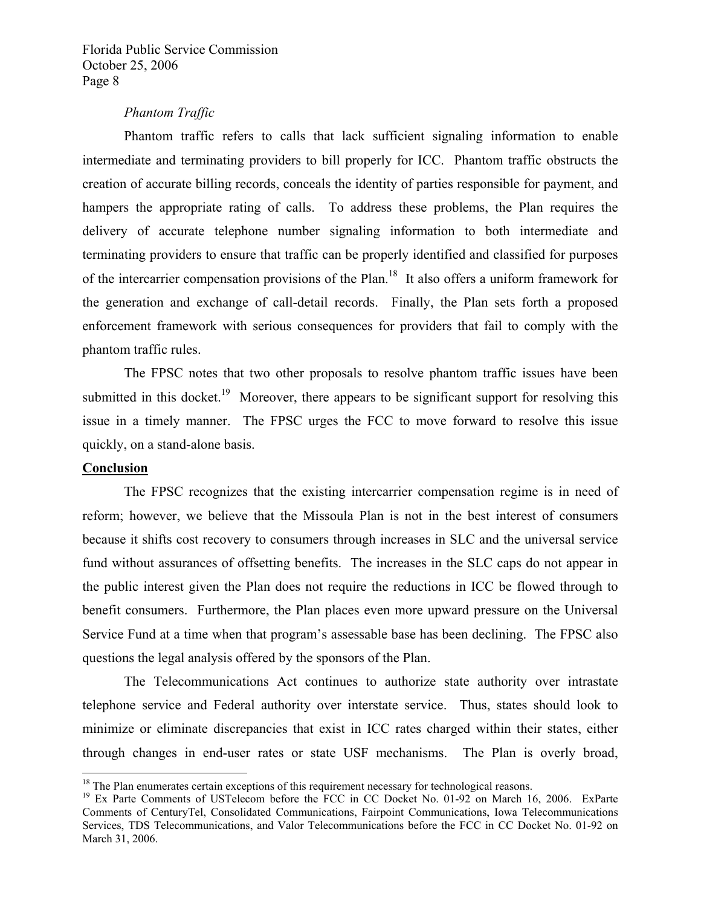#### *Phantom Traffic*

 Phantom traffic refers to calls that lack sufficient signaling information to enable intermediate and terminating providers to bill properly for ICC. Phantom traffic obstructs the creation of accurate billing records, conceals the identity of parties responsible for payment, and hampers the appropriate rating of calls. To address these problems, the Plan requires the delivery of accurate telephone number signaling information to both intermediate and terminating providers to ensure that traffic can be properly identified and classified for purposes of the intercarrier compensation provisions of the Plan.<sup>18</sup> It also offers a uniform framework for the generation and exchange of call-detail records. Finally, the Plan sets forth a proposed enforcement framework with serious consequences for providers that fail to comply with the phantom traffic rules.

 The FPSC notes that two other proposals to resolve phantom traffic issues have been submitted in this docket.<sup>19</sup> Moreover, there appears to be significant support for resolving this issue in a timely manner. The FPSC urges the FCC to move forward to resolve this issue quickly, on a stand-alone basis.

#### **Conclusion**

 $\overline{a}$ 

 The FPSC recognizes that the existing intercarrier compensation regime is in need of reform; however, we believe that the Missoula Plan is not in the best interest of consumers because it shifts cost recovery to consumers through increases in SLC and the universal service fund without assurances of offsetting benefits. The increases in the SLC caps do not appear in the public interest given the Plan does not require the reductions in ICC be flowed through to benefit consumers. Furthermore, the Plan places even more upward pressure on the Universal Service Fund at a time when that program's assessable base has been declining. The FPSC also questions the legal analysis offered by the sponsors of the Plan.

 The Telecommunications Act continues to authorize state authority over intrastate telephone service and Federal authority over interstate service. Thus, states should look to minimize or eliminate discrepancies that exist in ICC rates charged within their states, either through changes in end-user rates or state USF mechanisms. The Plan is overly broad,

<sup>&</sup>lt;sup>18</sup> The Plan enumerates certain exceptions of this requirement necessary for technological reasons.<br><sup>19</sup> Ex Parte Comments of USTelecom before the FCC in CC Docket No. 01-92 on March 16, 2006. ExParte Comments of CenturyTel, Consolidated Communications, Fairpoint Communications, Iowa Telecommunications Services, TDS Telecommunications, and Valor Telecommunications before the FCC in CC Docket No. 01-92 on March 31, 2006.